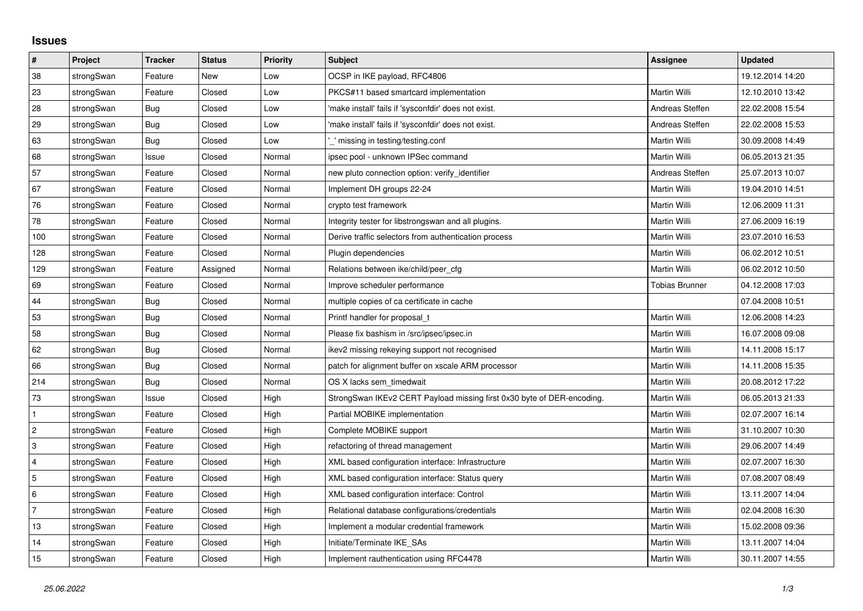## **Issues**

| $\vert$ #                 | Project    | <b>Tracker</b> | <b>Status</b> | Priority | <b>Subject</b>                                                         | <b>Assignee</b>       | <b>Updated</b>   |
|---------------------------|------------|----------------|---------------|----------|------------------------------------------------------------------------|-----------------------|------------------|
| 38                        | strongSwan | Feature        | New           | Low      | OCSP in IKE payload, RFC4806                                           |                       | 19.12.2014 14:20 |
| 23                        | strongSwan | Feature        | Closed        | Low      | PKCS#11 based smartcard implementation                                 | Martin Willi          | 12.10.2010 13:42 |
| $28\,$                    | strongSwan | Bug            | Closed        | Low      | 'make install' fails if 'sysconfdir' does not exist.                   | Andreas Steffen       | 22.02.2008 15:54 |
| 29                        | strongSwan | <b>Bug</b>     | Closed        | Low      | 'make install' fails if 'sysconfdir' does not exist.                   | Andreas Steffen       | 22.02.2008 15:53 |
| 63                        | strongSwan | Bug            | Closed        | Low      | " missing in testing/testing.conf                                      | Martin Willi          | 30.09.2008 14:49 |
| 68                        | strongSwan | Issue          | Closed        | Normal   | ipsec pool - unknown IPSec command                                     | <b>Martin Willi</b>   | 06.05.2013 21:35 |
| 57                        | strongSwan | Feature        | Closed        | Normal   | new pluto connection option: verify identifier                         | Andreas Steffen       | 25.07.2013 10:07 |
| 67                        | strongSwan | Feature        | Closed        | Normal   | Implement DH groups 22-24                                              | Martin Willi          | 19.04.2010 14:51 |
| 76                        | strongSwan | Feature        | Closed        | Normal   | crypto test framework                                                  | Martin Willi          | 12.06.2009 11:31 |
| 78                        | strongSwan | Feature        | Closed        | Normal   | Integrity tester for libstrongswan and all plugins.                    | Martin Willi          | 27.06.2009 16:19 |
| 100                       | strongSwan | Feature        | Closed        | Normal   | Derive traffic selectors from authentication process                   | Martin Willi          | 23.07.2010 16:53 |
| 128                       | strongSwan | Feature        | Closed        | Normal   | Plugin dependencies                                                    | Martin Willi          | 06.02.2012 10:51 |
| 129                       | strongSwan | Feature        | Assigned      | Normal   | Relations between ike/child/peer cfg                                   | <b>Martin Willi</b>   | 06.02.2012 10:50 |
| 69                        | strongSwan | Feature        | Closed        | Normal   | Improve scheduler performance                                          | <b>Tobias Brunner</b> | 04.12.2008 17:03 |
| 44                        | strongSwan | Bug            | Closed        | Normal   | multiple copies of ca certificate in cache                             |                       | 07.04.2008 10:51 |
| 53                        | strongSwan | Bug            | Closed        | Normal   | Printf handler for proposal t                                          | Martin Willi          | 12.06.2008 14:23 |
| 58                        | strongSwan | Bug            | Closed        | Normal   | Please fix bashism in /src/ipsec/ipsec.in                              | Martin Willi          | 16.07.2008 09:08 |
| 62                        | strongSwan | <b>Bug</b>     | Closed        | Normal   | ikev2 missing rekeying support not recognised                          | Martin Willi          | 14.11.2008 15:17 |
| 66                        | strongSwan | <b>Bug</b>     | Closed        | Normal   | patch for alignment buffer on xscale ARM processor                     | Martin Willi          | 14.11.2008 15:35 |
| 214                       | strongSwan | Bug            | Closed        | Normal   | OS X lacks sem timedwait                                               | Martin Willi          | 20.08.2012 17:22 |
| 73                        | strongSwan | Issue          | Closed        | High     | StrongSwan IKEv2 CERT Payload missing first 0x30 byte of DER-encoding. | Martin Willi          | 06.05.2013 21:33 |
| $\mathbf{1}$              | strongSwan | Feature        | Closed        | High     | Partial MOBIKE implementation                                          | Martin Willi          | 02.07.2007 16:14 |
| $\sqrt{2}$                | strongSwan | Feature        | Closed        | High     | Complete MOBIKE support                                                | Martin Willi          | 31.10.2007 10:30 |
| $\ensuremath{\mathsf{3}}$ | strongSwan | Feature        | Closed        | High     | refactoring of thread management                                       | Martin Willi          | 29.06.2007 14:49 |
| $\overline{4}$            | strongSwan | Feature        | Closed        | High     | XML based configuration interface: Infrastructure                      | Martin Willi          | 02.07.2007 16:30 |
| $\overline{5}$            | strongSwan | Feature        | Closed        | High     | XML based configuration interface: Status query                        | Martin Willi          | 07.08.2007 08:49 |
| $\,6\,$                   | strongSwan | Feature        | Closed        | High     | XML based configuration interface: Control                             | Martin Willi          | 13.11.2007 14:04 |
| $\overline{7}$            | strongSwan | Feature        | Closed        | High     | Relational database configurations/credentials                         | Martin Willi          | 02.04.2008 16:30 |
| 13                        | strongSwan | Feature        | Closed        | High     | Implement a modular credential framework                               | Martin Willi          | 15.02.2008 09:36 |
| 14                        | strongSwan | Feature        | Closed        | High     | Initiate/Terminate IKE SAs                                             | Martin Willi          | 13.11.2007 14:04 |
| 15                        | strongSwan | Feature        | Closed        | High     | Implement rauthentication using RFC4478                                | Martin Willi          | 30.11.2007 14:55 |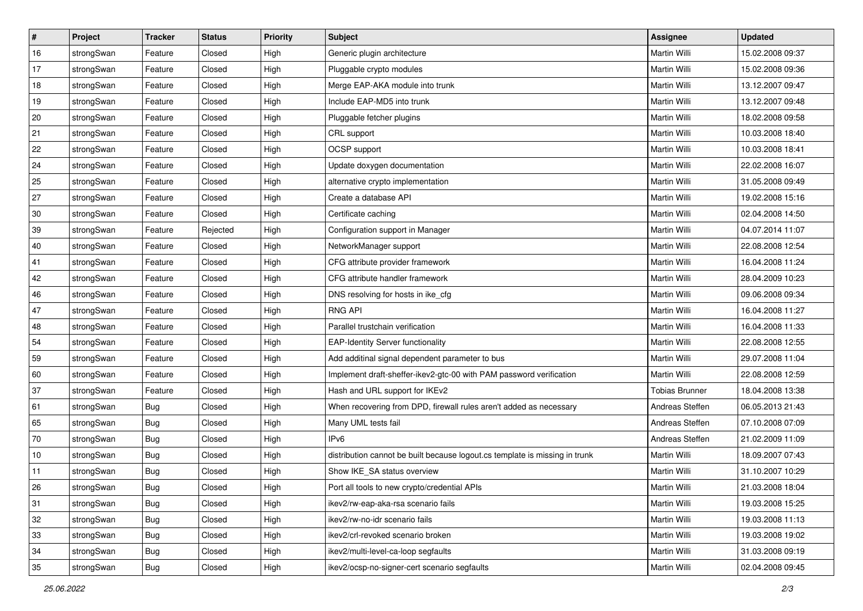| $\vert$ # | Project    | <b>Tracker</b> | <b>Status</b> | <b>Priority</b> | <b>Subject</b>                                                              | <b>Assignee</b>       | <b>Updated</b>   |
|-----------|------------|----------------|---------------|-----------------|-----------------------------------------------------------------------------|-----------------------|------------------|
| 16        | strongSwan | Feature        | Closed        | High            | Generic plugin architecture                                                 | Martin Willi          | 15.02.2008 09:37 |
| 17        | strongSwan | Feature        | Closed        | High            | Pluggable crypto modules                                                    | <b>Martin Willi</b>   | 15.02.2008 09:36 |
| 18        | strongSwan | Feature        | Closed        | High            | Merge EAP-AKA module into trunk                                             | Martin Willi          | 13.12.2007 09:47 |
| 19        | strongSwan | Feature        | Closed        | High            | Include EAP-MD5 into trunk                                                  | Martin Willi          | 13.12.2007 09:48 |
| 20        | strongSwan | Feature        | Closed        | High            | Pluggable fetcher plugins                                                   | Martin Willi          | 18.02.2008 09:58 |
| 21        | strongSwan | Feature        | Closed        | High            | CRL support                                                                 | Martin Willi          | 10.03.2008 18:40 |
| 22        | strongSwan | Feature        | Closed        | High            | <b>OCSP</b> support                                                         | Martin Willi          | 10.03.2008 18:41 |
| 24        | strongSwan | Feature        | Closed        | High            | Update doxygen documentation                                                | Martin Willi          | 22.02.2008 16:07 |
| 25        | strongSwan | Feature        | Closed        | High            | alternative crypto implementation                                           | Martin Willi          | 31.05.2008 09:49 |
| 27        | strongSwan | Feature        | Closed        | High            | Create a database API                                                       | Martin Willi          | 19.02.2008 15:16 |
| 30        | strongSwan | Feature        | Closed        | High            | Certificate caching                                                         | Martin Willi          | 02.04.2008 14:50 |
| 39        | strongSwan | Feature        | Rejected      | High            | Configuration support in Manager                                            | Martin Willi          | 04.07.2014 11:07 |
| 40        | strongSwan | Feature        | Closed        | High            | NetworkManager support                                                      | <b>Martin Willi</b>   | 22.08.2008 12:54 |
| 41        | strongSwan | Feature        | Closed        | High            | CFG attribute provider framework                                            | Martin Willi          | 16.04.2008 11:24 |
| 42        | strongSwan | Feature        | Closed        | High            | CFG attribute handler framework                                             | <b>Martin Willi</b>   | 28.04.2009 10:23 |
| 46        | strongSwan | Feature        | Closed        | High            | DNS resolving for hosts in ike_cfg                                          | Martin Willi          | 09.06.2008 09:34 |
| 47        | strongSwan | Feature        | Closed        | High            | <b>RNG API</b>                                                              | <b>Martin Willi</b>   | 16.04.2008 11:27 |
| 48        | strongSwan | Feature        | Closed        | High            | Parallel trustchain verification                                            | Martin Willi          | 16.04.2008 11:33 |
| 54        | strongSwan | Feature        | Closed        | High            | <b>EAP-Identity Server functionality</b>                                    | Martin Willi          | 22.08.2008 12:55 |
| 59        | strongSwan | Feature        | Closed        | High            | Add additinal signal dependent parameter to bus                             | Martin Willi          | 29.07.2008 11:04 |
| 60        | strongSwan | Feature        | Closed        | High            | Implement draft-sheffer-ikev2-gtc-00 with PAM password verification         | Martin Willi          | 22.08.2008 12:59 |
| 37        | strongSwan | Feature        | Closed        | High            | Hash and URL support for IKEv2                                              | <b>Tobias Brunner</b> | 18.04.2008 13:38 |
| 61        | strongSwan | Bug            | Closed        | High            | When recovering from DPD, firewall rules aren't added as necessary          | Andreas Steffen       | 06.05.2013 21:43 |
| 65        | strongSwan | Bug            | Closed        | High            | Many UML tests fail                                                         | Andreas Steffen       | 07.10.2008 07:09 |
| 70        | strongSwan | <b>Bug</b>     | Closed        | High            | IP <sub>v6</sub>                                                            | Andreas Steffen       | 21.02.2009 11:09 |
| 10        | strongSwan | Bug            | Closed        | High            | distribution cannot be built because logout.cs template is missing in trunk | <b>Martin Willi</b>   | 18.09.2007 07:43 |
| 11        | strongSwan | Bug            | Closed        | High            | Show IKE_SA status overview                                                 | Martin Willi          | 31.10.2007 10:29 |
| 26        | strongSwan | Bug            | Closed        | High            | Port all tools to new crypto/credential APIs                                | Martin Willi          | 21.03.2008 18:04 |
| 31        | strongSwan | Bug            | Closed        | High            | ikev2/rw-eap-aka-rsa scenario fails                                         | Martin Willi          | 19.03.2008 15:25 |
| 32        | strongSwan | Bug            | Closed        | High            | ikev2/rw-no-idr scenario fails                                              | Martin Willi          | 19.03.2008 11:13 |
| 33        | strongSwan | <b>Bug</b>     | Closed        | High            | ikev2/crl-revoked scenario broken                                           | Martin Willi          | 19.03.2008 19:02 |
| 34        | strongSwan | Bug            | Closed        | High            | ikev2/multi-level-ca-loop segfaults                                         | Martin Willi          | 31.03.2008 09:19 |
| 35        | strongSwan | <b>Bug</b>     | Closed        | High            | ikev2/ocsp-no-signer-cert scenario segfaults                                | Martin Willi          | 02.04.2008 09:45 |